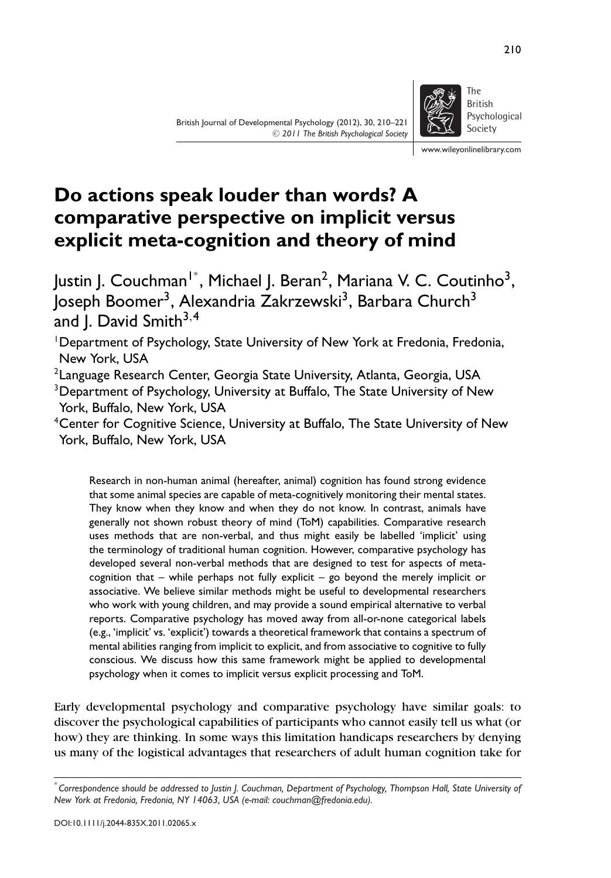

British Psychological Society

www.wileyonlinelibrary.com

# **Do actions speak louder than words? A comparative perspective on implicit versus explicit meta-cognition and theory of mind**

Justin J. Couchman<sup>1\*</sup>, Michael J. Beran<sup>2</sup>, Mariana V. C. Coutinho<sup>3</sup>, Joseph Boomer<sup>3</sup>, Alexandria Zakrzewski<sup>3</sup>, Barbara Church<sup>3</sup> and J. David Smith $3,4$ 

1 Department of Psychology, State University of New York at Fredonia, Fredonia, New York, USA

2Language Research Center, Georgia State University, Atlanta, Georgia, USA

3Department of Psychology, University at Buffalo, The State University of New York, Buffalo, New York, USA

4Center for Cognitive Science, University at Buffalo, The State University of New York, Buffalo, New York, USA

Research in non-human animal (hereafter, animal) cognition has found strong evidence that some animal species are capable of meta-cognitively monitoring their mental states. They know when they know and when they do not know. In contrast, animals have generally not shown robust theory of mind (ToM) capabilities. Comparative research uses methods that are non-verbal, and thus might easily be labelled 'implicit' using the terminology of traditional human cognition. However, comparative psychology has developed several non-verbal methods that are designed to test for aspects of metacognition that – while perhaps not fully explicit – go beyond the merely implicit or associative. We believe similar methods might be useful to developmental researchers who work with young children, and may provide a sound empirical alternative to verbal reports. Comparative psychology has moved away from all-or-none categorical labels (e.g., 'implicit' vs. 'explicit') towards a theoretical framework that contains a spectrum of mental abilities ranging from implicit to explicit, and from associative to cognitive to fully conscious. We discuss how this same framework might be applied to developmental psychology when it comes to implicit versus explicit processing and ToM.

Early developmental psychology and comparative psychology have similar goals: to discover the psychological capabilities of participants who cannot easily tell us what (or how) they are thinking. In some ways this limitation handicaps researchers by denying us many of the logistical advantages that researchers of adult human cognition take for

<sup>∗</sup> *Correspondence should be addressed to Justin J. Couchman, Department of Psychology, Thompson Hall, State University of New York at Fredonia, Fredonia, NY 14063, USA (e-mail: couchman@fredonia.edu).*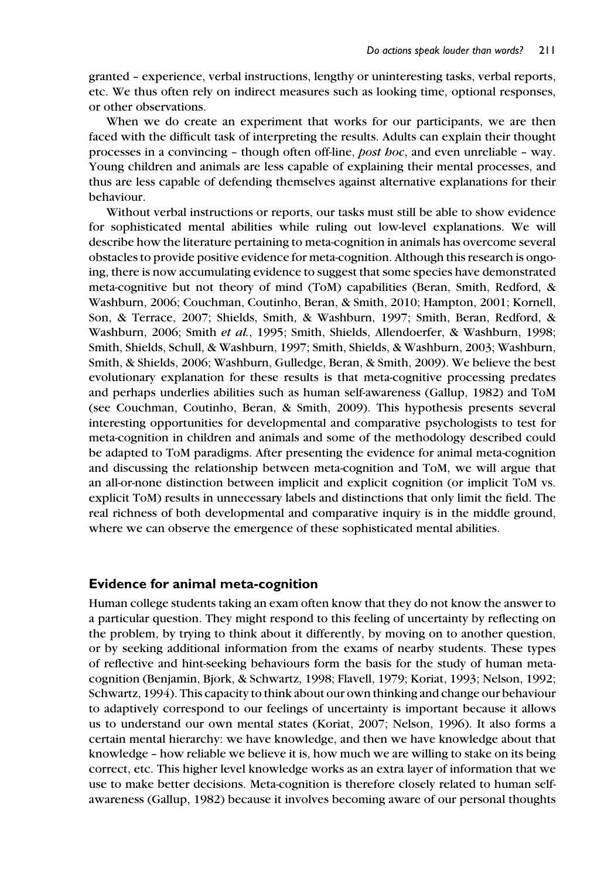granted – experience, verbal instructions, lengthy or uninteresting tasks, verbal reports, etc. We thus often rely on indirect measures such as looking time, optional responses, or other observations.

When we do create an experiment that works for our participants, we are then faced with the difficult task of interpreting the results. Adults can explain their thought processes in a convincing – though often off-line, *post hoc*, and even unreliable – way. Young children and animals are less capable of explaining their mental processes, and thus are less capable of defending themselves against alternative explanations for their behaviour.

Without verbal instructions or reports, our tasks must still be able to show evidence for sophisticated mental abilities while ruling out low-level explanations. We will describe how the literature pertaining to meta-cognition in animals has overcome several obstacles to provide positive evidence for meta-cognition. Although this research is ongoing, there is now accumulating evidence to suggest that some species have demonstrated meta-cognitive but not theory of mind (ToM) capabilities (Beran, Smith, Redford, & Washburn, 2006; Couchman, Coutinho, Beran, & Smith, 2010; Hampton, 2001; Kornell, Son, & Terrace, 2007; Shields, Smith, & Washburn, 1997; Smith, Beran, Redford, & Washburn, 2006; Smith *et al.*, 1995; Smith, Shields, Allendoerfer, & Washburn, 1998; Smith, Shields, Schull, & Washburn, 1997; Smith, Shields, & Washburn, 2003; Washburn, Smith, & Shields, 2006; Washburn, Gulledge, Beran, & Smith, 2009). We believe the best evolutionary explanation for these results is that meta-cognitive processing predates and perhaps underlies abilities such as human self-awareness (Gallup, 1982) and ToM (see Couchman, Coutinho, Beran, & Smith, 2009). This hypothesis presents several interesting opportunities for developmental and comparative psychologists to test for meta-cognition in children and animals and some of the methodology described could be adapted to ToM paradigms. After presenting the evidence for animal meta-cognition and discussing the relationship between meta-cognition and ToM, we will argue that an all-or-none distinction between implicit and explicit cognition (or implicit ToM vs. explicit ToM) results in unnecessary labels and distinctions that only limit the field. The real richness of both developmental and comparative inquiry is in the middle ground, where we can observe the emergence of these sophisticated mental abilities.

## **Evidence for animal meta-cognition**

Human college students taking an exam often know that they do not know the answer to a particular question. They might respond to this feeling of uncertainty by reflecting on the problem, by trying to think about it differently, by moving on to another question, or by seeking additional information from the exams of nearby students. These types of reflective and hint-seeking behaviours form the basis for the study of human metacognition (Benjamin, Bjork, & Schwartz, 1998; Flavell, 1979; Koriat, 1993; Nelson, 1992; Schwartz, 1994). This capacity to think about our own thinking and change our behaviour to adaptively correspond to our feelings of uncertainty is important because it allows us to understand our own mental states (Koriat, 2007; Nelson, 1996). It also forms a certain mental hierarchy: we have knowledge, and then we have knowledge about that knowledge – how reliable we believe it is, how much we are willing to stake on its being correct, etc. This higher level knowledge works as an extra layer of information that we use to make better decisions. Meta-cognition is therefore closely related to human selfawareness (Gallup, 1982) because it involves becoming aware of our personal thoughts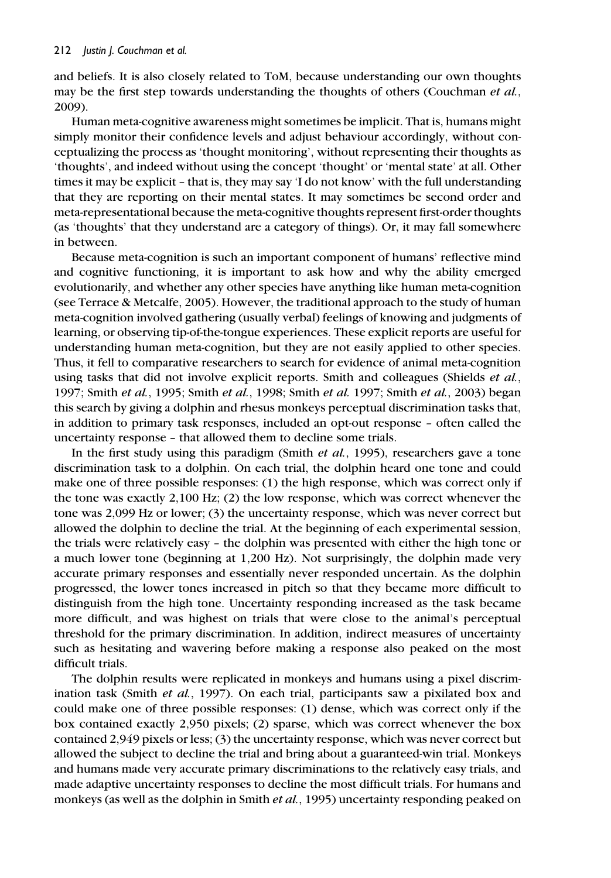and beliefs. It is also closely related to ToM, because understanding our own thoughts may be the first step towards understanding the thoughts of others (Couchman *et al.*, 2009).

Human meta-cognitive awareness might sometimes be implicit. That is, humans might simply monitor their confidence levels and adjust behaviour accordingly, without conceptualizing the process as 'thought monitoring', without representing their thoughts as 'thoughts', and indeed without using the concept 'thought' or 'mental state' at all. Other times it may be explicit – that is, they may say 'I do not know' with the full understanding that they are reporting on their mental states. It may sometimes be second order and meta-representational because the meta-cognitive thoughts represent first-order thoughts (as 'thoughts' that they understand are a category of things). Or, it may fall somewhere in between.

Because meta-cognition is such an important component of humans' reflective mind and cognitive functioning, it is important to ask how and why the ability emerged evolutionarily, and whether any other species have anything like human meta-cognition (see Terrace & Metcalfe, 2005). However, the traditional approach to the study of human meta-cognition involved gathering (usually verbal) feelings of knowing and judgments of learning, or observing tip-of-the-tongue experiences. These explicit reports are useful for understanding human meta-cognition, but they are not easily applied to other species. Thus, it fell to comparative researchers to search for evidence of animal meta-cognition using tasks that did not involve explicit reports. Smith and colleagues (Shields *et al.*, 1997; Smith *et al.*, 1995; Smith *et al.*, 1998; Smith *et al.* 1997; Smith *et al.*, 2003) began this search by giving a dolphin and rhesus monkeys perceptual discrimination tasks that, in addition to primary task responses, included an opt-out response – often called the uncertainty response – that allowed them to decline some trials.

In the first study using this paradigm (Smith *et al.*, 1995), researchers gave a tone discrimination task to a dolphin. On each trial, the dolphin heard one tone and could make one of three possible responses: (1) the high response, which was correct only if the tone was exactly 2,100 Hz; (2) the low response, which was correct whenever the tone was 2,099 Hz or lower; (3) the uncertainty response, which was never correct but allowed the dolphin to decline the trial. At the beginning of each experimental session, the trials were relatively easy – the dolphin was presented with either the high tone or a much lower tone (beginning at 1,200 Hz). Not surprisingly, the dolphin made very accurate primary responses and essentially never responded uncertain. As the dolphin progressed, the lower tones increased in pitch so that they became more difficult to distinguish from the high tone. Uncertainty responding increased as the task became more difficult, and was highest on trials that were close to the animal's perceptual threshold for the primary discrimination. In addition, indirect measures of uncertainty such as hesitating and wavering before making a response also peaked on the most difficult trials.

The dolphin results were replicated in monkeys and humans using a pixel discrimination task (Smith *et al.*, 1997). On each trial, participants saw a pixilated box and could make one of three possible responses: (1) dense, which was correct only if the box contained exactly 2,950 pixels; (2) sparse, which was correct whenever the box contained 2,949 pixels or less; (3) the uncertainty response, which was never correct but allowed the subject to decline the trial and bring about a guaranteed-win trial. Monkeys and humans made very accurate primary discriminations to the relatively easy trials, and made adaptive uncertainty responses to decline the most difficult trials. For humans and monkeys (as well as the dolphin in Smith *et al.*, 1995) uncertainty responding peaked on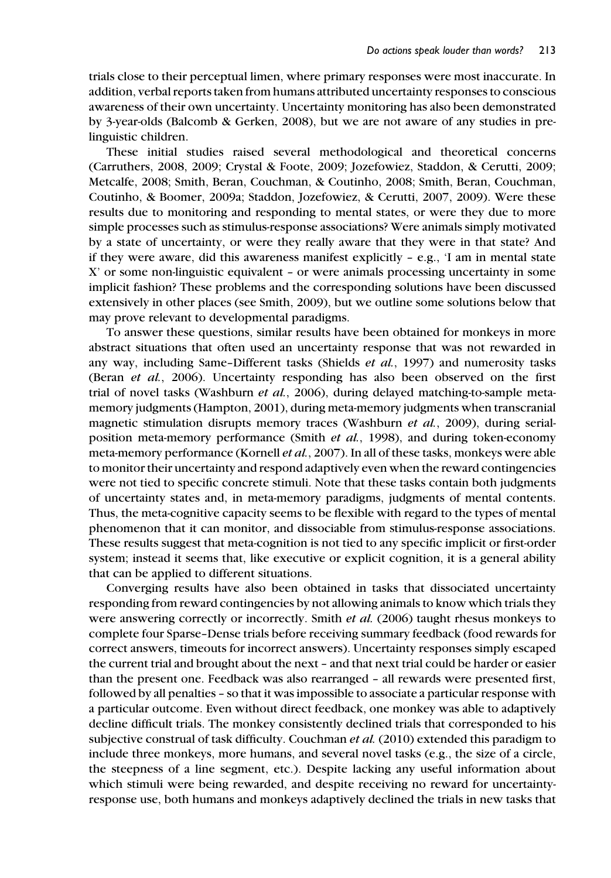trials close to their perceptual limen, where primary responses were most inaccurate. In addition, verbal reports taken from humans attributed uncertainty responses to conscious awareness of their own uncertainty. Uncertainty monitoring has also been demonstrated by 3-year-olds (Balcomb & Gerken, 2008), but we are not aware of any studies in prelinguistic children.

These initial studies raised several methodological and theoretical concerns (Carruthers, 2008, 2009; Crystal & Foote, 2009; Jozefowiez, Staddon, & Cerutti, 2009; Metcalfe, 2008; Smith, Beran, Couchman, & Coutinho, 2008; Smith, Beran, Couchman, Coutinho, & Boomer, 2009a; Staddon, Jozefowiez, & Cerutti, 2007, 2009). Were these results due to monitoring and responding to mental states, or were they due to more simple processes such as stimulus-response associations? Were animals simply motivated by a state of uncertainty, or were they really aware that they were in that state? And if they were aware, did this awareness manifest explicitly – e.g., 'I am in mental state X' or some non-linguistic equivalent – or were animals processing uncertainty in some implicit fashion? These problems and the corresponding solutions have been discussed extensively in other places (see Smith, 2009), but we outline some solutions below that may prove relevant to developmental paradigms.

To answer these questions, similar results have been obtained for monkeys in more abstract situations that often used an uncertainty response that was not rewarded in any way, including Same–Different tasks (Shields *et al.*, 1997) and numerosity tasks (Beran *et al.*, 2006). Uncertainty responding has also been observed on the first trial of novel tasks (Washburn *et al.*, 2006), during delayed matching-to-sample metamemory judgments (Hampton, 2001), during meta-memory judgments when transcranial magnetic stimulation disrupts memory traces (Washburn *et al.*, 2009), during serialposition meta-memory performance (Smith *et al.*, 1998), and during token-economy meta-memory performance (Kornell *et al.*, 2007). In all of these tasks, monkeys were able to monitor their uncertainty and respond adaptively even when the reward contingencies were not tied to specific concrete stimuli. Note that these tasks contain both judgments of uncertainty states and, in meta-memory paradigms, judgments of mental contents. Thus, the meta-cognitive capacity seems to be flexible with regard to the types of mental phenomenon that it can monitor, and dissociable from stimulus-response associations. These results suggest that meta-cognition is not tied to any specific implicit or first-order system; instead it seems that, like executive or explicit cognition, it is a general ability that can be applied to different situations.

Converging results have also been obtained in tasks that dissociated uncertainty responding from reward contingencies by not allowing animals to know which trials they were answering correctly or incorrectly. Smith *et al.* (2006) taught rhesus monkeys to complete four Sparse–Dense trials before receiving summary feedback (food rewards for correct answers, timeouts for incorrect answers). Uncertainty responses simply escaped the current trial and brought about the next – and that next trial could be harder or easier than the present one. Feedback was also rearranged – all rewards were presented first, followed by all penalties – so that it was impossible to associate a particular response with a particular outcome. Even without direct feedback, one monkey was able to adaptively decline difficult trials. The monkey consistently declined trials that corresponded to his subjective construal of task difficulty. Couchman *et al.* (2010) extended this paradigm to include three monkeys, more humans, and several novel tasks (e.g., the size of a circle, the steepness of a line segment, etc.). Despite lacking any useful information about which stimuli were being rewarded, and despite receiving no reward for uncertaintyresponse use, both humans and monkeys adaptively declined the trials in new tasks that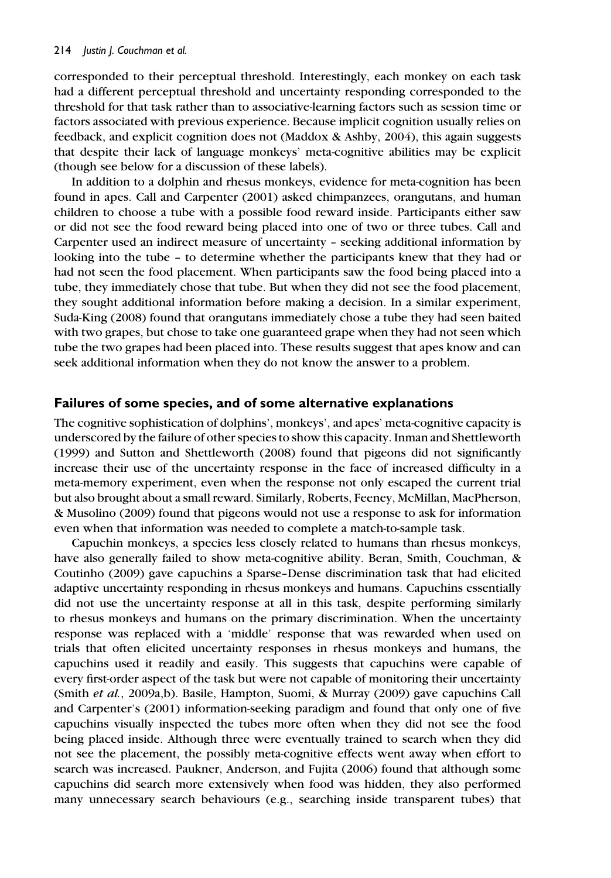corresponded to their perceptual threshold. Interestingly, each monkey on each task had a different perceptual threshold and uncertainty responding corresponded to the threshold for that task rather than to associative-learning factors such as session time or factors associated with previous experience. Because implicit cognition usually relies on feedback, and explicit cognition does not (Maddox & Ashby, 2004), this again suggests that despite their lack of language monkeys' meta-cognitive abilities may be explicit (though see below for a discussion of these labels).

In addition to a dolphin and rhesus monkeys, evidence for meta-cognition has been found in apes. Call and Carpenter (2001) asked chimpanzees, orangutans, and human children to choose a tube with a possible food reward inside. Participants either saw or did not see the food reward being placed into one of two or three tubes. Call and Carpenter used an indirect measure of uncertainty – seeking additional information by looking into the tube – to determine whether the participants knew that they had or had not seen the food placement. When participants saw the food being placed into a tube, they immediately chose that tube. But when they did not see the food placement, they sought additional information before making a decision. In a similar experiment, Suda-King (2008) found that orangutans immediately chose a tube they had seen baited with two grapes, but chose to take one guaranteed grape when they had not seen which tube the two grapes had been placed into. These results suggest that apes know and can seek additional information when they do not know the answer to a problem.

### **Failures of some species, and of some alternative explanations**

The cognitive sophistication of dolphins', monkeys', and apes' meta-cognitive capacity is underscored by the failure of other species to show this capacity. Inman and Shettleworth (1999) and Sutton and Shettleworth (2008) found that pigeons did not significantly increase their use of the uncertainty response in the face of increased difficulty in a meta-memory experiment, even when the response not only escaped the current trial but also brought about a small reward. Similarly, Roberts, Feeney, McMillan, MacPherson, & Musolino (2009) found that pigeons would not use a response to ask for information even when that information was needed to complete a match-to-sample task.

Capuchin monkeys, a species less closely related to humans than rhesus monkeys, have also generally failed to show meta-cognitive ability. Beran, Smith, Couchman, & Coutinho (2009) gave capuchins a Sparse–Dense discrimination task that had elicited adaptive uncertainty responding in rhesus monkeys and humans. Capuchins essentially did not use the uncertainty response at all in this task, despite performing similarly to rhesus monkeys and humans on the primary discrimination. When the uncertainty response was replaced with a 'middle' response that was rewarded when used on trials that often elicited uncertainty responses in rhesus monkeys and humans, the capuchins used it readily and easily. This suggests that capuchins were capable of every first-order aspect of the task but were not capable of monitoring their uncertainty (Smith *et al.*, 2009a,b). Basile, Hampton, Suomi, & Murray (2009) gave capuchins Call and Carpenter's (2001) information-seeking paradigm and found that only one of five capuchins visually inspected the tubes more often when they did not see the food being placed inside. Although three were eventually trained to search when they did not see the placement, the possibly meta-cognitive effects went away when effort to search was increased. Paukner, Anderson, and Fujita (2006) found that although some capuchins did search more extensively when food was hidden, they also performed many unnecessary search behaviours (e.g., searching inside transparent tubes) that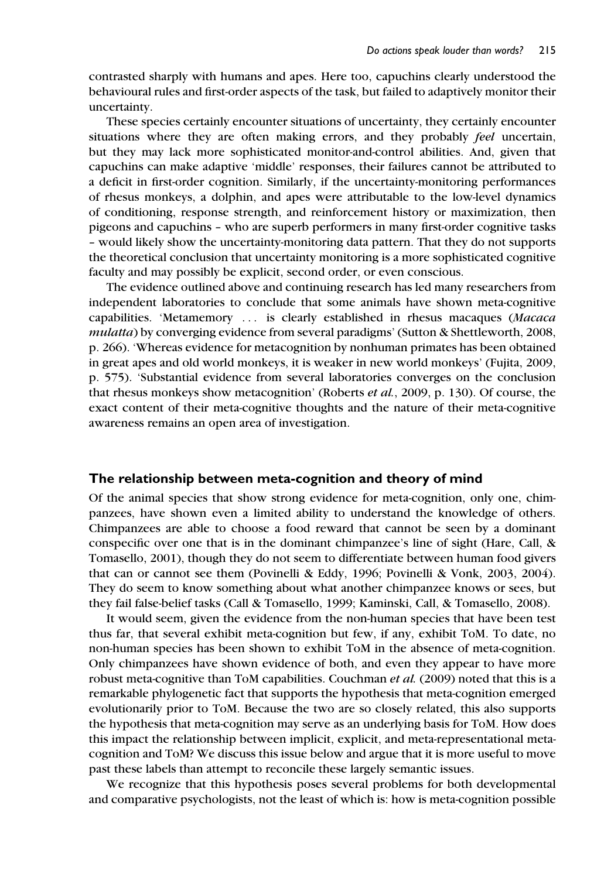contrasted sharply with humans and apes. Here too, capuchins clearly understood the behavioural rules and first-order aspects of the task, but failed to adaptively monitor their uncertainty.

These species certainly encounter situations of uncertainty, they certainly encounter situations where they are often making errors, and they probably *feel* uncertain, but they may lack more sophisticated monitor-and-control abilities. And, given that capuchins can make adaptive 'middle' responses, their failures cannot be attributed to a deficit in first-order cognition. Similarly, if the uncertainty-monitoring performances of rhesus monkeys, a dolphin, and apes were attributable to the low-level dynamics of conditioning, response strength, and reinforcement history or maximization, then pigeons and capuchins – who are superb performers in many first-order cognitive tasks – would likely show the uncertainty-monitoring data pattern. That they do not supports the theoretical conclusion that uncertainty monitoring is a more sophisticated cognitive faculty and may possibly be explicit, second order, or even conscious.

The evidence outlined above and continuing research has led many researchers from independent laboratories to conclude that some animals have shown meta-cognitive capabilities. 'Metamemory . . . is clearly established in rhesus macaques (*Macaca mulatta*) by converging evidence from several paradigms' (Sutton & Shettleworth, 2008, p. 266). 'Whereas evidence for metacognition by nonhuman primates has been obtained in great apes and old world monkeys, it is weaker in new world monkeys' (Fujita, 2009, p. 575). 'Substantial evidence from several laboratories converges on the conclusion that rhesus monkeys show metacognition' (Roberts *et al.*, 2009, p. 130). Of course, the exact content of their meta-cognitive thoughts and the nature of their meta-cognitive awareness remains an open area of investigation.

### **The relationship between meta-cognition and theory of mind**

Of the animal species that show strong evidence for meta-cognition, only one, chimpanzees, have shown even a limited ability to understand the knowledge of others. Chimpanzees are able to choose a food reward that cannot be seen by a dominant conspecific over one that is in the dominant chimpanzee's line of sight (Hare, Call, & Tomasello, 2001), though they do not seem to differentiate between human food givers that can or cannot see them (Povinelli & Eddy, 1996; Povinelli & Vonk, 2003, 2004). They do seem to know something about what another chimpanzee knows or sees, but they fail false-belief tasks (Call & Tomasello, 1999; Kaminski, Call, & Tomasello, 2008).

It would seem, given the evidence from the non-human species that have been test thus far, that several exhibit meta-cognition but few, if any, exhibit ToM. To date, no non-human species has been shown to exhibit ToM in the absence of meta-cognition. Only chimpanzees have shown evidence of both, and even they appear to have more robust meta-cognitive than ToM capabilities. Couchman *et al.* (2009) noted that this is a remarkable phylogenetic fact that supports the hypothesis that meta-cognition emerged evolutionarily prior to ToM. Because the two are so closely related, this also supports the hypothesis that meta-cognition may serve as an underlying basis for ToM. How does this impact the relationship between implicit, explicit, and meta-representational metacognition and ToM? We discuss this issue below and argue that it is more useful to move past these labels than attempt to reconcile these largely semantic issues.

We recognize that this hypothesis poses several problems for both developmental and comparative psychologists, not the least of which is: how is meta-cognition possible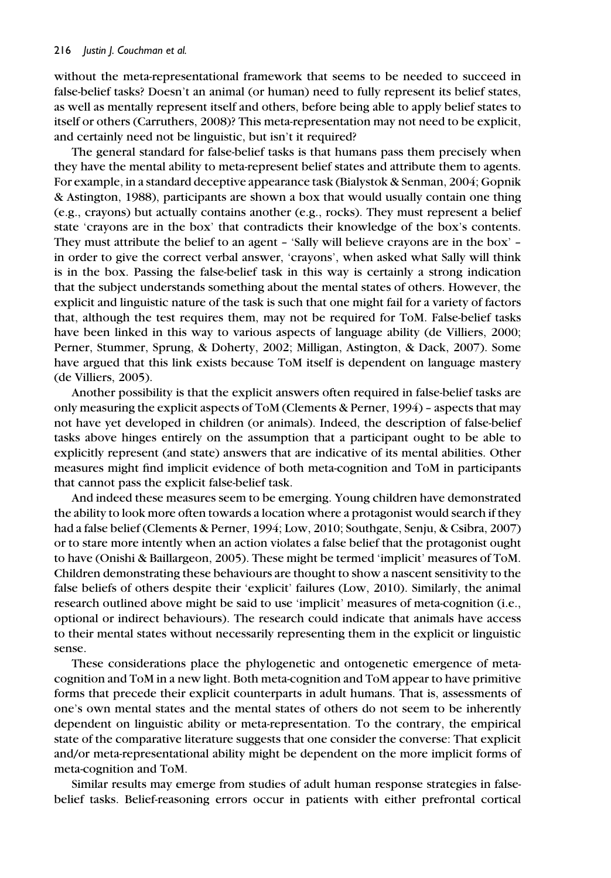without the meta-representational framework that seems to be needed to succeed in false-belief tasks? Doesn't an animal (or human) need to fully represent its belief states, as well as mentally represent itself and others, before being able to apply belief states to itself or others (Carruthers, 2008)? This meta-representation may not need to be explicit, and certainly need not be linguistic, but isn't it required?

The general standard for false-belief tasks is that humans pass them precisely when they have the mental ability to meta-represent belief states and attribute them to agents. For example, in a standard deceptive appearance task (Bialystok & Senman, 2004; Gopnik & Astington, 1988), participants are shown a box that would usually contain one thing (e.g., crayons) but actually contains another (e.g., rocks). They must represent a belief state 'crayons are in the box' that contradicts their knowledge of the box's contents. They must attribute the belief to an agent – 'Sally will believe crayons are in the box' – in order to give the correct verbal answer, 'crayons', when asked what Sally will think is in the box. Passing the false-belief task in this way is certainly a strong indication that the subject understands something about the mental states of others. However, the explicit and linguistic nature of the task is such that one might fail for a variety of factors that, although the test requires them, may not be required for ToM. False-belief tasks have been linked in this way to various aspects of language ability (de Villiers, 2000; Perner, Stummer, Sprung, & Doherty, 2002; Milligan, Astington, & Dack, 2007). Some have argued that this link exists because ToM itself is dependent on language mastery (de Villiers, 2005).

Another possibility is that the explicit answers often required in false-belief tasks are only measuring the explicit aspects of ToM (Clements & Perner, 1994) – aspects that may not have yet developed in children (or animals). Indeed, the description of false-belief tasks above hinges entirely on the assumption that a participant ought to be able to explicitly represent (and state) answers that are indicative of its mental abilities. Other measures might find implicit evidence of both meta-cognition and ToM in participants that cannot pass the explicit false-belief task.

And indeed these measures seem to be emerging. Young children have demonstrated the ability to look more often towards a location where a protagonist would search if they had a false belief (Clements & Perner, 1994; Low, 2010; Southgate, Senju, & Csibra, 2007) or to stare more intently when an action violates a false belief that the protagonist ought to have (Onishi & Baillargeon, 2005). These might be termed 'implicit' measures of ToM. Children demonstrating these behaviours are thought to show a nascent sensitivity to the false beliefs of others despite their 'explicit' failures (Low, 2010). Similarly, the animal research outlined above might be said to use 'implicit' measures of meta-cognition (i.e., optional or indirect behaviours). The research could indicate that animals have access to their mental states without necessarily representing them in the explicit or linguistic sense.

These considerations place the phylogenetic and ontogenetic emergence of metacognition and ToM in a new light. Both meta-cognition and ToM appear to have primitive forms that precede their explicit counterparts in adult humans. That is, assessments of one's own mental states and the mental states of others do not seem to be inherently dependent on linguistic ability or meta-representation. To the contrary, the empirical state of the comparative literature suggests that one consider the converse: That explicit and/or meta-representational ability might be dependent on the more implicit forms of meta-cognition and ToM.

Similar results may emerge from studies of adult human response strategies in falsebelief tasks. Belief-reasoning errors occur in patients with either prefrontal cortical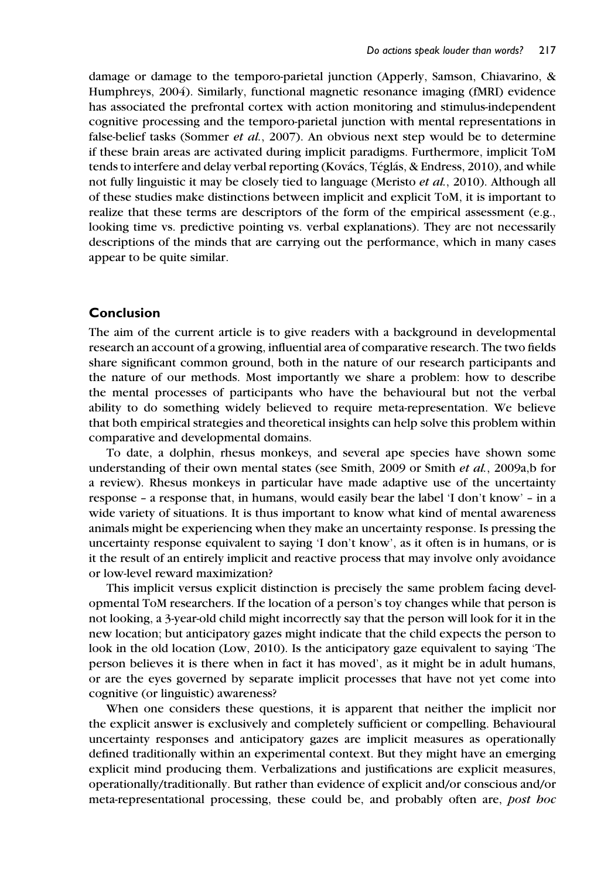damage or damage to the temporo-parietal junction (Apperly, Samson, Chiavarino, & Humphreys, 2004). Similarly, functional magnetic resonance imaging (fMRI) evidence has associated the prefrontal cortex with action monitoring and stimulus-independent cognitive processing and the temporo-parietal junction with mental representations in false-belief tasks (Sommer *et al.*, 2007). An obvious next step would be to determine if these brain areas are activated during implicit paradigms. Furthermore, implicit ToM tends to interfere and delay verbal reporting (Kovács, Téglás, & Endress, 2010), and while not fully linguistic it may be closely tied to language (Meristo *et al.*, 2010). Although all of these studies make distinctions between implicit and explicit ToM, it is important to realize that these terms are descriptors of the form of the empirical assessment (e.g., looking time vs. predictive pointing vs. verbal explanations). They are not necessarily descriptions of the minds that are carrying out the performance, which in many cases appear to be quite similar.

## **Conclusion**

The aim of the current article is to give readers with a background in developmental research an account of a growing, influential area of comparative research. The two fields share significant common ground, both in the nature of our research participants and the nature of our methods. Most importantly we share a problem: how to describe the mental processes of participants who have the behavioural but not the verbal ability to do something widely believed to require meta-representation. We believe that both empirical strategies and theoretical insights can help solve this problem within comparative and developmental domains.

To date, a dolphin, rhesus monkeys, and several ape species have shown some understanding of their own mental states (see Smith, 2009 or Smith *et al.*, 2009a,b for a review). Rhesus monkeys in particular have made adaptive use of the uncertainty response – a response that, in humans, would easily bear the label 'I don't know' – in a wide variety of situations. It is thus important to know what kind of mental awareness animals might be experiencing when they make an uncertainty response. Is pressing the uncertainty response equivalent to saying 'I don't know', as it often is in humans, or is it the result of an entirely implicit and reactive process that may involve only avoidance or low-level reward maximization?

This implicit versus explicit distinction is precisely the same problem facing developmental ToM researchers. If the location of a person's toy changes while that person is not looking, a 3-year-old child might incorrectly say that the person will look for it in the new location; but anticipatory gazes might indicate that the child expects the person to look in the old location (Low, 2010). Is the anticipatory gaze equivalent to saying 'The person believes it is there when in fact it has moved', as it might be in adult humans, or are the eyes governed by separate implicit processes that have not yet come into cognitive (or linguistic) awareness?

When one considers these questions, it is apparent that neither the implicit nor the explicit answer is exclusively and completely sufficient or compelling. Behavioural uncertainty responses and anticipatory gazes are implicit measures as operationally defined traditionally within an experimental context. But they might have an emerging explicit mind producing them. Verbalizations and justifications are explicit measures, operationally/traditionally. But rather than evidence of explicit and/or conscious and/or meta-representational processing, these could be, and probably often are, *post hoc*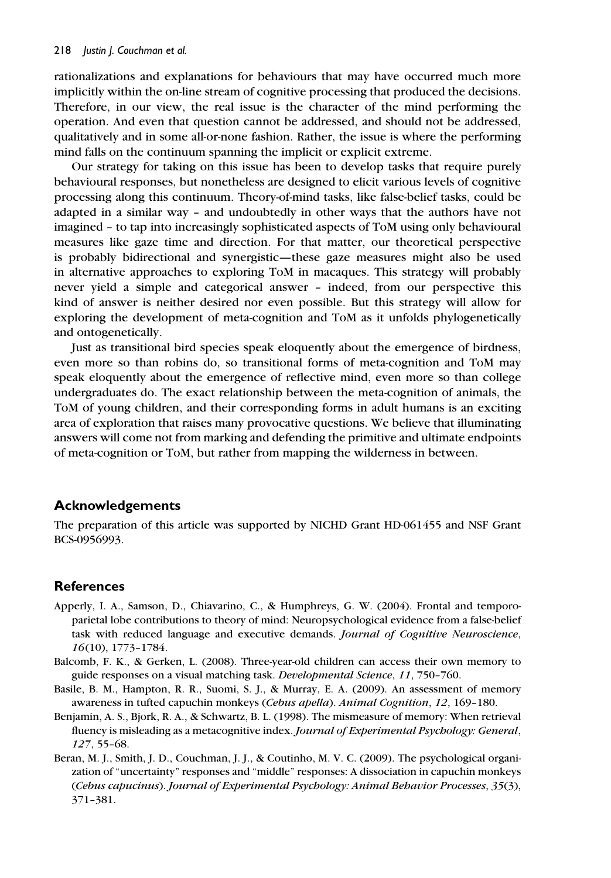rationalizations and explanations for behaviours that may have occurred much more implicitly within the on-line stream of cognitive processing that produced the decisions. Therefore, in our view, the real issue is the character of the mind performing the operation. And even that question cannot be addressed, and should not be addressed, qualitatively and in some all-or-none fashion. Rather, the issue is where the performing mind falls on the continuum spanning the implicit or explicit extreme.

Our strategy for taking on this issue has been to develop tasks that require purely behavioural responses, but nonetheless are designed to elicit various levels of cognitive processing along this continuum. Theory-of-mind tasks, like false-belief tasks, could be adapted in a similar way – and undoubtedly in other ways that the authors have not imagined – to tap into increasingly sophisticated aspects of ToM using only behavioural measures like gaze time and direction. For that matter, our theoretical perspective is probably bidirectional and synergistic—these gaze measures might also be used in alternative approaches to exploring ToM in macaques. This strategy will probably never yield a simple and categorical answer – indeed, from our perspective this kind of answer is neither desired nor even possible. But this strategy will allow for exploring the development of meta-cognition and ToM as it unfolds phylogenetically and ontogenetically.

Just as transitional bird species speak eloquently about the emergence of birdness, even more so than robins do, so transitional forms of meta-cognition and ToM may speak eloquently about the emergence of reflective mind, even more so than college undergraduates do. The exact relationship between the meta-cognition of animals, the ToM of young children, and their corresponding forms in adult humans is an exciting area of exploration that raises many provocative questions. We believe that illuminating answers will come not from marking and defending the primitive and ultimate endpoints of meta-cognition or ToM, but rather from mapping the wilderness in between.

## **Acknowledgements**

The preparation of this article was supported by NICHD Grant HD-061455 and NSF Grant BCS-0956993.

## **References**

- Apperly, I. A., Samson, D., Chiavarino, C., & Humphreys, G. W. (2004). Frontal and temporoparietal lobe contributions to theory of mind: Neuropsychological evidence from a false-belief task with reduced language and executive demands. *Journal of Cognitive Neuroscience*, *16*(10), 1773–1784.
- Balcomb, F. K., & Gerken, L. (2008). Three-year-old children can access their own memory to guide responses on a visual matching task. *Developmental Science*, *11*, 750–760.
- Basile, B. M., Hampton, R. R., Suomi, S. J., & Murray, E. A. (2009). An assessment of memory awareness in tufted capuchin monkeys (*Cebus apella*). *Animal Cognition*, *12*, 169–180.
- Benjamin, A. S., Bjork, R. A., & Schwartz, B. L. (1998). The mismeasure of memory: When retrieval fluency is misleading as a metacognitive index. *Journal of Experimental Psychology: General*, *127*, 55–68.
- Beran, M. J., Smith, J. D., Couchman, J. J., & Coutinho, M. V. C. (2009). The psychological organization of "uncertainty" responses and "middle" responses: A dissociation in capuchin monkeys (*Cebus capucinus*). *Journal of Experimental Psychology: Animal Behavior Processes*, *35*(3), 371–381.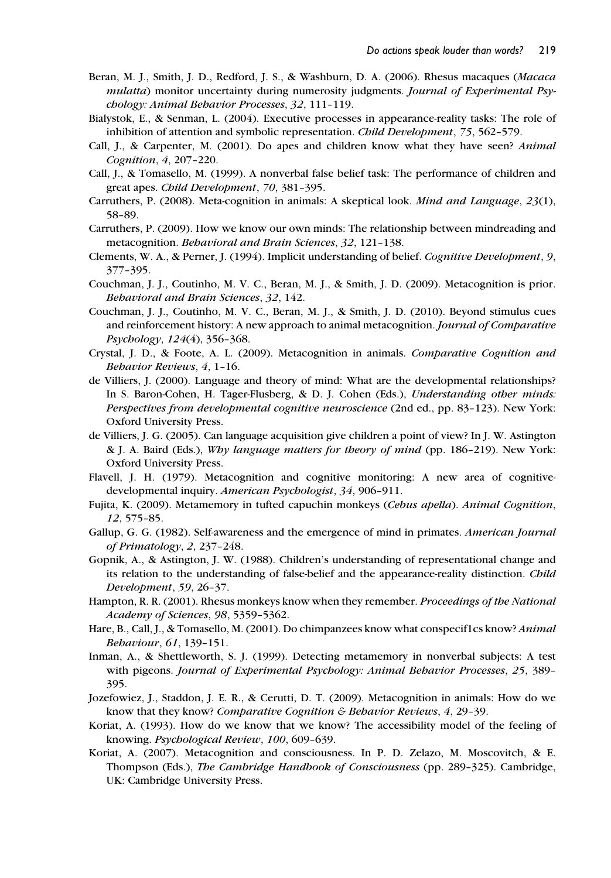- Beran, M. J., Smith, J. D., Redford, J. S., & Washburn, D. A. (2006). Rhesus macaques (*Macaca mulatta*) monitor uncertainty during numerosity judgments. *Journal of Experimental Psychology: Animal Behavior Processes*, *32*, 111–119.
- Bialystok, E., & Senman, L. (2004). Executive processes in appearance-reality tasks: The role of inhibition of attention and symbolic representation. *Child Development*, *75*, 562–579.
- Call, J., & Carpenter, M. (2001). Do apes and children know what they have seen? *Animal Cognition*, *4*, 207–220.
- Call, J., & Tomasello, M. (1999). A nonverbal false belief task: The performance of children and great apes. *Child Development*, *70*, 381–395.
- Carruthers, P. (2008). Meta-cognition in animals: A skeptical look. *Mind and Language*, *23*(1), 58–89.
- Carruthers, P. (2009). How we know our own minds: The relationship between mindreading and metacognition. *Behavioral and Brain Sciences*, *32*, 121–138.
- Clements, W. A., & Perner, J. (1994). Implicit understanding of belief. *Cognitive Development*, *9*, 377–395.
- Couchman, J. J., Coutinho, M. V. C., Beran, M. J., & Smith, J. D. (2009). Metacognition is prior. *Behavioral and Brain Sciences*, *32*, 142.
- Couchman, J. J., Coutinho, M. V. C., Beran, M. J., & Smith, J. D. (2010). Beyond stimulus cues and reinforcement history: A new approach to animal metacognition. *Journal of Comparative Psychology*, *124*(4), 356–368.
- Crystal, J. D., & Foote, A. L. (2009). Metacognition in animals. *Comparative Cognition and Behavior Reviews*, *4*, 1–16.
- de Villiers, J. (2000). Language and theory of mind: What are the developmental relationships? In S. Baron-Cohen, H. Tager-Flusberg, & D. J. Cohen (Eds.), *Understanding other minds: Perspectives from developmental cognitive neuroscience* (2nd ed., pp. 83–123). New York: Oxford University Press.
- de Villiers, J. G. (2005). Can language acquisition give children a point of view? In J. W. Astington & J. A. Baird (Eds.), *Why language matters for theory of mind* (pp. 186–219). New York: Oxford University Press.
- Flavell, J. H. (1979). Metacognition and cognitive monitoring: A new area of cognitivedevelopmental inquiry. *American Psychologist*, *34*, 906–911.
- Fujita, K. (2009). Metamemory in tufted capuchin monkeys (*Cebus apella*). *Animal Cognition*, *12*, 575–85.
- Gallup, G. G. (1982). Self-awareness and the emergence of mind in primates. *American Journal of Primatology*, *2*, 237–248.
- Gopnik, A., & Astington, J. W. (1988). Children's understanding of representational change and its relation to the understanding of false-belief and the appearance-reality distinction. *Child Development*, *59*, 26–37.
- Hampton, R. R. (2001). Rhesus monkeys know when they remember. *Proceedings of the National Academy of Sciences*, *98*, 5359–5362.
- Hare, B., Call, J., & Tomasello, M. (2001). Do chimpanzees know what conspecif1cs know? *Animal Behaviour*, *61*, 139–151.
- Inman, A., & Shettleworth, S. J. (1999). Detecting metamemory in nonverbal subjects: A test with pigeons. *Journal of Experimental Psychology: Animal Behavior Processes*, *25*, 389– 395.
- Jozefowiez, J., Staddon, J. E. R., & Cerutti, D. T. (2009). Metacognition in animals: How do we know that they know? *Comparative Cognition & Behavior Reviews*, *4*, 29–39.
- Koriat, A. (1993). How do we know that we know? The accessibility model of the feeling of knowing. *Psychological Review*, *100*, 609–639.
- Koriat, A. (2007). Metacognition and consciousness. In P. D. Zelazo, M. Moscovitch, & E. Thompson (Eds.), *The Cambridge Handbook of Consciousness* (pp. 289–325). Cambridge, UK: Cambridge University Press.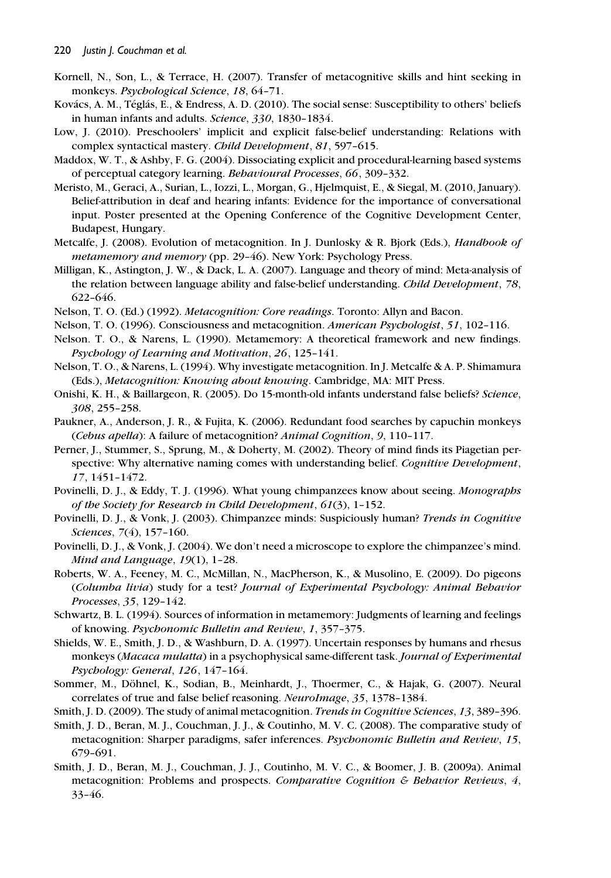- Kornell, N., Son, L., & Terrace, H. (2007). Transfer of metacognitive skills and hint seeking in monkeys. *Psychological Science*, *18*, 64–71.
- Kovács, A. M., Téglás, E., & Endress, A. D. (2010). The social sense: Susceptibility to others' beliefs in human infants and adults. *Science*, *330*, 1830–1834.
- Low, J. (2010). Preschoolers' implicit and explicit false-belief understanding: Relations with complex syntactical mastery. *Child Development*, *81*, 597–615.
- Maddox, W. T., & Ashby, F. G. (2004). Dissociating explicit and procedural-learning based systems of perceptual category learning. *Behavioural Processes*, *66*, 309–332.
- Meristo, M., Geraci, A., Surian, L., Iozzi, L., Morgan, G., Hjelmquist, E., & Siegal, M. (2010, January). Belief-attribution in deaf and hearing infants: Evidence for the importance of conversational input. Poster presented at the Opening Conference of the Cognitive Development Center, Budapest, Hungary.
- Metcalfe, J. (2008). Evolution of metacognition. In J. Dunlosky & R. Bjork (Eds.), *Handbook of metamemory and memory* (pp. 29–46). New York: Psychology Press.
- Milligan, K., Astington, J. W., & Dack, L. A. (2007). Language and theory of mind: Meta-analysis of the relation between language ability and false-belief understanding. *Child Development*, *78*, 622–646.
- Nelson, T. O. (Ed.) (1992). *Metacognition: Core readings*. Toronto: Allyn and Bacon.
- Nelson, T. O. (1996). Consciousness and metacognition. *American Psychologist*, *51*, 102–116.
- Nelson. T. O., & Narens, L. (1990). Metamemory: A theoretical framework and new findings. *Psychology of Learning and Motivation*, *26*, 125–141.
- Nelson, T. O., & Narens, L. (1994). Why investigate metacognition. In J. Metcalfe & A. P. Shimamura (Eds.), *Metacognition: Knowing about knowing*. Cambridge, MA: MIT Press.
- Onishi, K. H., & Baillargeon, R. (2005). Do 15-month-old infants understand false beliefs? *Science*, *308*, 255–258.
- Paukner, A., Anderson, J. R., & Fujita, K. (2006). Redundant food searches by capuchin monkeys (*Cebus apella*): A failure of metacognition? *Animal Cognition*, *9*, 110–117.
- Perner, J., Stummer, S., Sprung, M., & Doherty, M. (2002). Theory of mind finds its Piagetian perspective: Why alternative naming comes with understanding belief. *Cognitive Development*, *17*, 1451–1472.
- Povinelli, D. J., & Eddy, T. J. (1996). What young chimpanzees know about seeing. *Monographs of the Society for Research in Child Development*, *61*(3), 1–152.
- Povinelli, D. J., & Vonk, J. (2003). Chimpanzee minds: Suspiciously human? *Trends in Cognitive Sciences*, *7*(4), 157–160.
- Povinelli, D. J., & Vonk, J. (2004). We don't need a microscope to explore the chimpanzee's mind. *Mind and Language*, *19*(1), 1–28.
- Roberts, W. A., Feeney, M. C., McMillan, N., MacPherson, K., & Musolino, E. (2009). Do pigeons (*Columba livia*) study for a test? *Journal of Experimental Psychology: Animal Behavior Processes*, *35*, 129–142.
- Schwartz, B. L. (1994). Sources of information in metamemory: Judgments of learning and feelings of knowing. *Psychonomic Bulletin and Review*, *1*, 357–375.
- Shields, W. E., Smith, J. D., & Washburn, D. A. (1997). Uncertain responses by humans and rhesus monkeys (*Macaca mulatta*) in a psychophysical same-different task. *Journal of Experimental Psychology: General*, *126*, 147–164.
- Sommer, M., Döhnel, K., Sodian, B., Meinhardt, J., Thoermer, C., & Hajak, G. (2007). Neural correlates of true and false belief reasoning. *NeuroImage*, *35*, 1378–1384.
- Smith, J. D. (2009). The study of animal metacognition. *Trends in Cognitive Sciences*, *13*, 389–396.
- Smith, J. D., Beran, M. J., Couchman, J. J., & Coutinho, M. V. C. (2008). The comparative study of metacognition: Sharper paradigms, safer inferences. *Psychonomic Bulletin and Review*, *15*, 679–691.
- Smith, J. D., Beran, M. J., Couchman, J. J., Coutinho, M. V. C., & Boomer, J. B. (2009a). Animal metacognition: Problems and prospects. *Comparative Cognition & Behavior Reviews*, *4*, 33–46.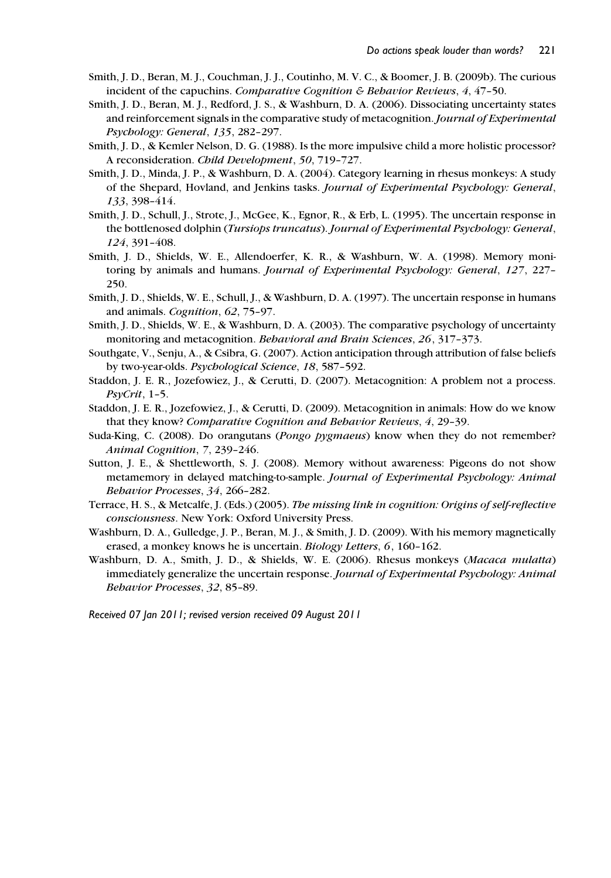- Smith, J. D., Beran, M. J., Couchman, J. J., Coutinho, M. V. C., & Boomer, J. B. (2009b). The curious incident of the capuchins. *Comparative Cognition & Behavior Reviews*, *4*, 47–50.
- Smith, J. D., Beran, M. J., Redford, J. S., & Washburn, D. A. (2006). Dissociating uncertainty states and reinforcement signals in the comparative study of metacognition. *Journal of Experimental Psychology: General*, *135*, 282–297.
- Smith, J. D., & Kemler Nelson, D. G. (1988). Is the more impulsive child a more holistic processor? A reconsideration. *Child Development*, *50*, 719–727.
- Smith, J. D., Minda, J. P., & Washburn, D. A. (2004). Category learning in rhesus monkeys: A study of the Shepard, Hovland, and Jenkins tasks. *Journal of Experimental Psychology: General*, *133*, 398–414.
- Smith, J. D., Schull, J., Strote, J., McGee, K., Egnor, R., & Erb, L. (1995). The uncertain response in the bottlenosed dolphin (*Tursiops truncatus*). *Journal of Experimental Psychology: General*, *124*, 391–408.
- Smith, J. D., Shields, W. E., Allendoerfer, K. R., & Washburn, W. A. (1998). Memory monitoring by animals and humans. *Journal of Experimental Psychology: General*, *127*, 227– 250.
- Smith, J. D., Shields, W. E., Schull, J., & Washburn, D. A. (1997). The uncertain response in humans and animals. *Cognition*, *62*, 75–97.
- Smith, J. D., Shields, W. E., & Washburn, D. A. (2003). The comparative psychology of uncertainty monitoring and metacognition. *Behavioral and Brain Sciences*, *26*, 317–373.
- Southgate, V., Senju, A., & Csibra, G. (2007). Action anticipation through attribution of false beliefs by two-year-olds. *Psychological Science*, *18*, 587–592.
- Staddon, J. E. R., Jozefowiez, J., & Cerutti, D. (2007). Metacognition: A problem not a process. *PsyCrit*, 1–5.
- Staddon, J. E. R., Jozefowiez, J., & Cerutti, D. (2009). Metacognition in animals: How do we know that they know? *Comparative Cognition and Behavior Reviews*, *4*, 29–39.
- Suda-King, C. (2008). Do orangutans (*Pongo pygmaeus*) know when they do not remember? *Animal Cognition*, *7*, 239–246.
- Sutton, J. E., & Shettleworth, S. J. (2008). Memory without awareness: Pigeons do not show metamemory in delayed matching-to-sample. *Journal of Experimental Psychology: Animal Behavior Processes*, *34*, 266–282.
- Terrace, H. S., & Metcalfe, J. (Eds.) (2005). *The missing link in cognition: Origins of self-reflective consciousness*. New York: Oxford University Press.
- Washburn, D. A., Gulledge, J. P., Beran, M. J., & Smith, J. D. (2009). With his memory magnetically erased, a monkey knows he is uncertain. *Biology Letters*, *6*, 160–162.
- Washburn, D. A., Smith, J. D., & Shields, W. E. (2006). Rhesus monkeys (*Macaca mulatta*) immediately generalize the uncertain response. *Journal of Experimental Psychology: Animal Behavior Processes*, *32*, 85–89.

*Received 07 Jan 2011; revised version received 09 August 2011*